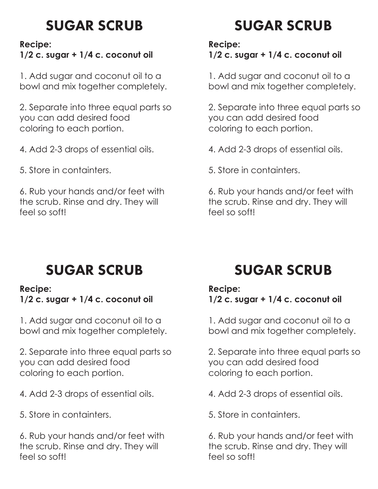### SUGAR SCRUB

#### **Recipe:**

### **1/2 c. sugar + 1/4 c. coconut oil**

1. Add sugar and coconut oil to a bowl and mix together completely.

2. Separate into three equal parts so you can add desired food coloring to each portion.

4. Add 2-3 drops of essential oils.

5. Store in containters.

6. Rub your hands and/or feet with the scrub. Rinse and dry. They will feel so soft!

# SUGAR SCRUB

**Recipe:**

**1/2 c. sugar + 1/4 c. coconut oil**

1. Add sugar and coconut oil to a bowl and mix together completely.

2. Separate into three equal parts so you can add desired food coloring to each portion.

- 4. Add 2-3 drops of essential oils.
- 5. Store in containters.

6. Rub your hands and/or feet with the scrub. Rinse and dry. They will feel so soft!

## SUGAR SCRUB

#### **Recipe:**

**1/2 c. sugar + 1/4 c. coconut oil**

1. Add sugar and coconut oil to a bowl and mix together completely.

2. Separate into three equal parts so you can add desired food coloring to each portion.

- 4. Add 2-3 drops of essential oils.
- 5. Store in containters.

6. Rub your hands and/or feet with the scrub. Rinse and dry. They will feel so soft!

## SUGAR SCRUB

#### **Recipe:**

**1/2 c. sugar + 1/4 c. coconut oil**

1. Add sugar and coconut oil to a bowl and mix together completely.

2. Separate into three equal parts so you can add desired food coloring to each portion.

- 4. Add 2-3 drops of essential oils.
- 5. Store in containters.

6. Rub your hands and/or feet with the scrub. Rinse and dry. They will feel so soft!